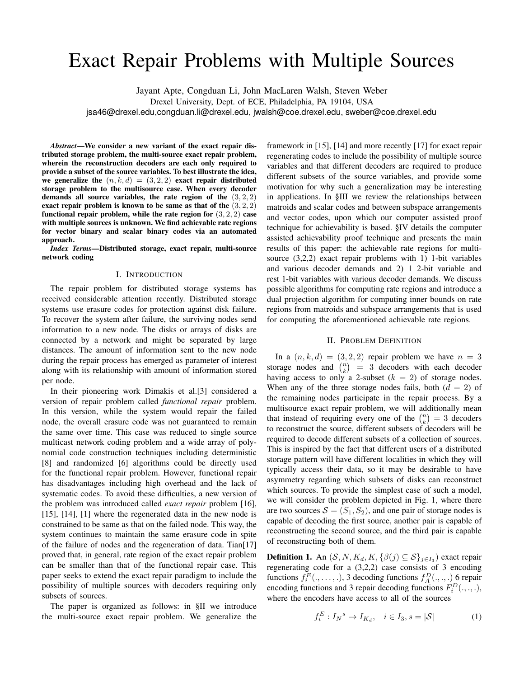# Exact Repair Problems with Multiple Sources

Jayant Apte, Congduan Li, John MacLaren Walsh, Steven Weber

Drexel University, Dept. of ECE, Philadelphia, PA 19104, USA

jsa46@drexel.edu,congduan.li@drexel.edu, jwalsh@coe.drexel.edu, sweber@coe.drexel.edu

*Abstract*—We consider a new variant of the exact repair distributed storage problem, the multi-source exact repair problem, wherein the reconstruction decoders are each only required to provide a subset of the source variables. To best illustrate the idea, we generalize the  $(n, k, d) = (3, 2, 2)$  exact repair distributed storage problem to the multisource case. When every decoder demands all source variables, the rate region of the  $(3, 2, 2)$ exact repair problem is known to be same as that of the (3, 2, 2) functional repair problem, while the rate region for  $(3, 2, 2)$  case with multiple sources is unknown. We find achievable rate regions for vector binary and scalar binary codes via an automated approach.

*Index Terms*—Distributed storage, exact repair, multi-source network coding

#### I. INTRODUCTION

The repair problem for distributed storage systems has received considerable attention recently. Distributed storage systems use erasure codes for protection against disk failure. To recover the system after failure, the surviving nodes send information to a new node. The disks or arrays of disks are connected by a network and might be separated by large distances. The amount of information sent to the new node during the repair process has emerged as parameter of interest along with its relationship with amount of information stored per node.

In their pioneering work Dimakis et al.[3] considered a version of repair problem called *functional repair* problem. In this version, while the system would repair the failed node, the overall erasure code was not guaranteed to remain the same over time. This case was reduced to single source multicast network coding problem and a wide array of polynomial code construction techniques including deterministic [8] and randomized [6] algorithms could be directly used for the functional repair problem. However, functional repair has disadvantages including high overhead and the lack of systematic codes. To avoid these difficulties, a new version of the problem was introduced called *exact repair* problem [16], [15], [14], [1] where the regenerated data in the new node is constrained to be same as that on the failed node. This way, the system continues to maintain the same erasure code in spite of the failure of nodes and the regeneration of data. Tian[17] proved that, in general, rate region of the exact repair problem can be smaller than that of the functional repair case. This paper seeks to extend the exact repair paradigm to include the possibility of multiple sources with decoders requiring only subsets of sources.

The paper is organized as follows: in §II we introduce the multi-source exact repair problem. We generalize the framework in [15], [14] and more recently [17] for exact repair regenerating codes to include the possibility of multiple source variables and that different decoders are required to produce different subsets of the source variables, and provide some motivation for why such a generalization may be interesting in applications. In §III we review the relationships between matroids and scalar codes and between subspace arrangements and vector codes, upon which our computer assisted proof technique for achievability is based. §IV details the computer assisted achievability proof technique and presents the main results of this paper: the achievable rate regions for multisource (3,2,2) exact repair problems with 1) 1-bit variables and various decoder demands and 2) 1 2-bit variable and rest 1-bit variables with various decoder demands. We discuss possible algorithms for computing rate regions and introduce a dual projection algorithm for computing inner bounds on rate regions from matroids and subspace arrangements that is used for computing the aforementioned achievable rate regions.

#### II. PROBLEM DEFINITION

In a  $(n, k, d) = (3, 2, 2)$  repair problem we have  $n = 3$ storage nodes and  $\binom{n}{k}$  = 3 decoders with each decoder having access to only a 2-subset  $(k = 2)$  of storage nodes. When any of the three storage nodes fails, both  $(d = 2)$  of the remaining nodes participate in the repair process. By a multisource exact repair problem, we will additionally mean that instead of requiring every one of the  $\binom{n}{k} = 3$  decoders to reconstruct the source, different subsets of decoders will be required to decode different subsets of a collection of sources. This is inspired by the fact that different users of a distributed storage pattern will have different localities in which they will typically access their data, so it may be desirable to have asymmetry regarding which subsets of disks can reconstruct which sources. To provide the simplest case of such a model, we will consider the problem depicted in Fig. 1, where there are two sources  $S = (S_1, S_2)$ , and one pair of storage nodes is capable of decoding the first source, another pair is capable of reconstructing the second source, and the third pair is capable of reconstructing both of them.

**Definition 1.** An  $(S, N, K_d, K, \{ \beta(j) \subseteq S \}_{j \in I_3})$  exact repair regenerating code for a (3,2,2) case consists of 3 encoding functions  $f_i^E(.,...,.),$  3 decoding functions  $f_A^D(.,.,.)$  6 repair encoding functions and 3 repair decoding functions  $F_i^D(., ., .),$ where the encoders have access to all of the sources

$$
f_i^E: I_N^s \mapsto I_{K_d}, \quad i \in I_3, s = |\mathcal{S}| \tag{1}
$$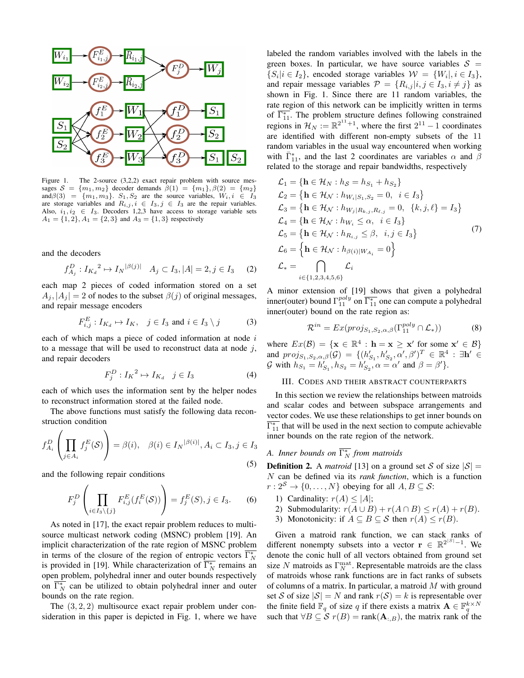

Figure 1. The 2-source  $(3,2,2)$  exact repair problem with source messages  $S = \{m_1, m_2\}$  decoder demands  $\beta(1) = \{m_1\}, \beta(2) = \{m_2\}$ and  $\beta(3) = \{m_1, m_3\}$ .  $S_1, S_2$  are the source variables,  $W_i, i \in I_3$ are storage variables and  $R_{i,j}, i \in I_3, j \in I_3$  are the repair variables. Also,  $i_1, i_2 \in I_3$ . Decoders 1,2,3 have access to storage variable sets  $A_1 = \{1, 2\}, A_1 = \{2, 3\}$  and  $A_3 = \{1, 3\}$  respectively

and the decoders

$$
f_{A_j}^D: I_{K_d}^2 \to I_N^{|\beta(j)|} \quad A_j \subset I_3, |A| = 2, j \in I_3 \tag{2}
$$

each map 2 pieces of coded information stored on a set  $A_i$ ,  $|A_i| = 2$  of nodes to the subset  $\beta(j)$  of original messages, and repair message encoders

$$
F_{i,j}^E: I_{K_d} \mapsto I_K, \quad j \in I_3 \text{ and } i \in I_3 \setminus j \tag{3}
$$

each of which maps a piece of coded information at node  $i$ to a message that will be used to reconstruct data at node  $j$ , and repair decoders

$$
F_j^D: I_K^2 \mapsto I_{K_d} \quad j \in I_3 \tag{4}
$$

each of which uses the information sent by the helper nodes to reconstruct information stored at the failed node.

The above functions must satisfy the following data reconstruction condition

$$
f_{A_i}^D \left( \prod_{j \in A_i} f_j^E(\mathcal{S}) \right) = \beta(i), \quad \beta(i) \in I_N^{|\beta(i)|}, A_i \subset I_3, j \in I_3
$$
\n(5)

and the following repair conditions

$$
F_j^D\left(\prod_{i\in I_3\setminus\{j\}}F_{i,j}^E(f_i^E(\mathcal{S}))\right)=f_j^E(S), j\in I_3.
$$
 (6)

As noted in [17], the exact repair problem reduces to multisource multicast network coding (MSNC) problem [19]. An implicit characterization of the rate region of MSNC problem in terms of the closure of the region of entropic vectors  $\overline{\Gamma_N^*}$ is provided in [19]. While characterization of  $\overline{\Gamma_N^*}$  remains an open problem, polyhedral inner and outer bounds respectively on  $\overline{\Gamma_N^*}$  can be utilized to obtain polyhedral inner and outer bounds on the rate region.

The  $(3, 2, 2)$  multisource exact repair problem under consideration in this paper is depicted in Fig. 1, where we have labeled the random variables involved with the labels in the green boxes. In particular, we have source variables  $S =$  $\{S_i | i \in I_2\}$ , encoded storage variables  $\mathcal{W} = \{W_i | i \in I_3\}$ , and repair message variables  $\mathcal{P} = \{R_{i,j} | i, j \in I_3, i \neq j\}$  as shown in Fig. 1. Since there are 11 random variables, the rate region of this network can be implicitly written in terms of  $\overline{\Gamma_{11}^*}$ . The problem structure defines following constrained regions in  $\mathcal{H}_N := \mathbb{R}^{2^{11}+1}$ , where the first  $2^{11} - 1$  coordinates are identified with different non-empty subsets of the 11 random variables in the usual way encountered when working with  $\bar{\Gamma}_{11}^*$ , and the last 2 coordinates are variables  $\alpha$  and  $\beta$ related to the storage and repair bandwidths, respectively

$$
\mathcal{L}_{1} = \{ \mathbf{h} \in \mathcal{H}_{N} : h_{S} = h_{S_{1}} + h_{S_{2}} \}
$$
\n
$$
\mathcal{L}_{2} = \{ \mathbf{h} \in \mathcal{H}_{N} : h_{W_{i}|S_{1},S_{2}} = 0, i \in I_{3} \}
$$
\n
$$
\mathcal{L}_{3} = \{ \mathbf{h} \in \mathcal{H}_{N} : h_{W_{j}|R_{k,j},R_{\ell,j}} = 0, \{k,j,\ell\} = I_{3} \}
$$
\n
$$
\mathcal{L}_{4} = \{ \mathbf{h} \in \mathcal{H}_{N} : h_{W_{i}} \leq \alpha, i \in I_{3} \}
$$
\n
$$
\mathcal{L}_{5} = \{ \mathbf{h} \in \mathcal{H}_{N} : h_{R_{i,j}} \leq \beta, i, j \in I_{3} \}
$$
\n
$$
\mathcal{L}_{6} = \{ \mathbf{h} \in \mathcal{H}_{N} : h_{\beta(i)|W_{A_{i}}} = 0 \}
$$
\n
$$
\mathcal{L}_{*} = \bigcap_{i \in \{1,2,3,4,5,6\}} \mathcal{L}_{i}
$$
\n(7)

A minor extension of [19] shows that given a polyhedral inner(outer) bound  $\Gamma_{11}^{poly}$  on  $\overline{\Gamma_{11}^*}$  one can compute a polyhedral inner(outer) bound on the rate region as:

$$
\mathcal{R}^{in} = Ex(proj_{S_1, S_2, \alpha, \beta}(\Gamma_{11}^{poly} \cap \mathcal{L}_*))
$$
 (8)

where  $Ex(\mathcal{B}) = \{ \mathbf{x} \in \mathbb{R}^4 : \mathbf{h} = \mathbf{x} \geq \mathbf{x}' \text{ for some } \mathbf{x}' \in \mathcal{B} \}$ and  $proj_{S_1, S_2, \alpha, \beta}(\mathcal{G}) = \{ (h'_{S_1}, h'_{S_2}, \alpha', \beta')^T \in \mathbb{R}^4 : \exists h' \in$ G with  $h_{S_1} = h'_{S_1}, h_{S_2} = h'_{S_2}, \alpha = \alpha'$  and  $\beta = \beta'$ .

## III. CODES AND THEIR ABSTRACT COUNTERPARTS

In this section we review the relationships between matroids and scalar codes and between subspace arrangements and vector codes. We use these relationships to get inner bounds on  $\overline{\Gamma_{11}^*}$  that will be used in the next section to compute achievable inner bounds on the rate region of the network.

# *A. Inner bounds on* Γ ∗ <sup>N</sup> *from matroids*

**Definition 2.** A *matroid* [13] on a ground set S of size  $|S|$  = N can be defined via its *rank function*, which is a function  $r: 2^S \to \{0, \ldots, N\}$  obeying for all  $A, B \subseteq S$ :

- 1) Cardinality:  $r(A) \leq |A|$ ;
- 2) Submodularity:  $r(A \cup B) + r(A \cap B) \le r(A) + r(B)$ .
- 3) Monotonicity: if  $A \subseteq B \subseteq S$  then  $r(A) \le r(B)$ .

Given a matroid rank function, we can stack ranks of different nonempty subsets into a vector  $\mathbf{r} \in \mathbb{R}^{2^{|S|}-1}$ . We denote the conic hull of all vectors obtained from ground set size N matroids as  $\Gamma_N^{\text{mat}}$ . Representable matroids are the class of matroids whose rank functions are in fact ranks of subsets of columns of a matrix. In particular, a matroid  $M$  with ground set S of size  $|S| = N$  and rank  $r(S) = k$  is representable over the finite field  $\mathbb{F}_q$  of size q if there exists a matrix  $\mathbf{A} \in \mathbb{F}_q^{k \times N}$ such that  $\forall B \subseteq S$   $r(B) = \text{rank}(\mathbf{A}_{:,B})$ , the matrix rank of the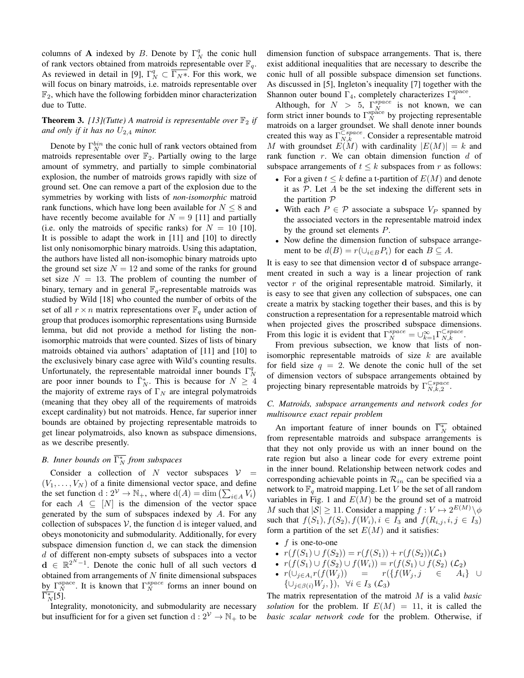columns of **A** indexed by *B*. Denote by  $\Gamma_N^q$  the conic hull of rank vectors obtained from matroids representable over  $\mathbb{F}_q$ . As reviewed in detail in [9],  $\Gamma_N^q \subset \overline{\Gamma_N^*}$ . For this work, we will focus on binary matroids, i.e. matroids representable over  $\mathbb{F}_2$ , which have the following forbidden minor characterization due to Tutte.

# **Theorem 3.** [13](Tutte) A matroid is representable over  $\mathbb{F}_2$  if and only if it has no  $U_{2,4}$  minor.

Denote by  $\Gamma_N^{bin}$  the conic hull of rank vectors obtained from matroids representable over  $\mathbb{F}_2$ . Partially owing to the large amount of symmetry, and partially to simple combinatorial explosion, the number of matroids grows rapidly with size of ground set. One can remove a part of the explosion due to the symmetries by working with lists of *non-isomorphic* matroid rank functions, which have long been available for  $N \leq 8$  and have recently become available for  $N = 9$  [11] and partially (i.e. only the matroids of specific ranks) for  $N = 10$  [10]. It is possible to adapt the work in [11] and [10] to directly list only nonisomorphic binary matroids. Using this adaptation, the authors have listed all non-isomophic binary matroids upto the ground set size  $N = 12$  and some of the ranks for ground set size  $N = 13$ . The problem of counting the number of binary, ternary and in general  $\mathbb{F}_q$ -representable matroids was studied by Wild [18] who counted the number of orbits of the set of all  $r \times n$  matrix representations over  $\mathbb{F}_q$  under action of group that produces isomorphic representations using Burnside lemma, but did not provide a method for listing the nonisomorphic matroids that were counted. Sizes of lists of binary matroids obtained via authors' adaptation of [11] and [10] to the exclusively binary case agree with Wild's counting results. Unfortunately, the representable matroidal inner bounds  $\Gamma_N^q$ are poor inner bounds to  $\overline{\Gamma}_N^*$ . This is because for  $N \geq 4$ the majority of extreme rays of  $\Gamma_N$  are integral polymatroids (meaning that they obey all of the requirements of matroids except cardinality) but not matroids. Hence, far superior inner bounds are obtained by projecting representable matroids to get linear polymatroids, also known as subspace dimensions, as we describe presently.

# *B.* Inner bounds on  $\overline{\Gamma_N^*}$  from subspaces

Consider a collection of N vector subspaces  $V =$  $(V_1, \ldots, V_N)$  of a finite dimensional vector space, and define the set function  $d: 2^{\mathcal{V}} \to \mathbb{N}_+$ , where  $d(A) = \dim \left( \sum_{i \in A} V_i \right)$ for each  $A \subseteq [N]$  is the dimension of the vector space generated by the sum of subspaces indexed by A. For any collection of subspaces  $V$ , the function d is integer valued, and obeys monotonicity and submodularity. Additionally, for every subspace dimension function d, we can stack the dimension d of different non-empty subsets of subspaces into a vector  $\mathbf{d} \in \mathbb{R}^{2^N-1}$ . Denote the conic hull of all such vectors d obtained from arrangements of  $N$  finite dimensional subspaces by  $\Gamma_N^{\text{space}}$ . It is known that  $\Gamma_N^{\text{space}}$  forms an inner bound on  $\overline{\Gamma_N^*[5]}$ .

Integrality, monotonicity, and submodularity are necessary but insufficient for for a given set function  $d: 2^{\mathcal{V}} \to \mathbb{N}_+$  to be dimension function of subspace arrangements. That is, there exist additional inequalities that are necessary to describe the conic hull of all possible subspace dimension set functions. As discussed in [5], Ingleton's inequality [7] together with the Shannon outer bound  $\Gamma_4$ , completely characterizes  $\Gamma_4^{\text{space}}$ .

Although, for  $N > 5$ ,  $\Gamma_N^{space}$  is not known, we can form strict inner bounds to  $\Gamma_N^{\text{spac}}$  by projecting representable matroids on a larger groundset. We shall denote inner bounds created this way as  $\Gamma_{N,k}^{\text{Cspace}}$ . Consider a representable matroid M with groundset  $E(M)$  with cardinality  $|E(M)| = k$  and rank function  $r$ . We can obtain dimension function  $d$  of subspace arrangements of  $t \leq k$  subspaces from r as follows:

- For a given  $t \leq k$  define a t-partition of  $E(M)$  and denote it as  $P$ . Let  $A$  be the set indexing the different sets in the partition  $P$
- With each  $P \in \mathcal{P}$  associate a subspace  $V_P$  spanned by the associated vectors in the representable matroid index by the ground set elements P.
- Now define the dimension function of subspace arrangement to be  $d(B) = r(\cup_{i \in B} P_i)$  for each  $B \subseteq A$ .

It is easy to see that dimension vector d of subspace arrangement created in such a way is a linear projection of rank vector r of the original representable matroid. Similarly, it is easy to see that given any collection of subspaces, one can create a matrix by stacking together their bases, and this is by construction a representation for a representable matroid which when projected gives the proscribed subspace dimensions. From this logic it is evident that  $\Gamma_N^{space} = \bigcup_{k=1}^{\infty} \Gamma_{N,k}^{Cspace}$ .

From previous subsection, we know that lists of nonisomorphic representable matroids of size  $k$  are available for field size  $q = 2$ . We denote the conic hull of the set of dimension vectors of subspace arrangements obtained by projecting binary representable matroids by  $\Gamma_{N,k,2}^{Cspace}$ .

# *C. Matroids, subspace arrangements and network codes for multisource exact repair problem*

An important feature of inner bounds on  $\overline{\Gamma_N^*}$  obtained from representable matroids and subspace arrangements is that they not only provide us with an inner bound on the rate region but also a linear code for every extreme point in the inner bound. Relationship between network codes and corresponding achievable points in  $\mathcal{R}_{in}$  can be specified via a network to  $\mathbb{F}_q$  matroid mapping. Let V be the set of all random variables in Fig. 1 and  $E(M)$  be the ground set of a matroid M such that  $|S| \ge 11$ . Consider a mapping  $f: V \mapsto 2^{E(M)} \setminus \phi$ such that  $f(S_1), f(S_2), f(W_i), i \in I_3$  and  $f(R_{i,j}, i, j \in I_3)$ form a partition of the set  $E(M)$  and it satisfies:

- $f$  is one-to-one
- $r(f(S_1) \cup f(S_2)) = r(f(S_1)) + r(f(S_2))C_1$
- $r(f(S_1) \cup f(S_2) \cup f(W_i)) = r(f(S_1) \cup f(S_2) \cup E_2)$
- $r(\cup_{j\in A_i} r(f(W_j)))$  =  $r(\{f(W_j,j) \in A_i\} \cup$  $\{\cup_{j\in\beta(i)}W_j,\}\},\forall i\in I_3\;(\mathcal{L}_3)$

The matrix representation of the matroid M is a valid *basic solution* for the problem. If  $E(M) = 11$ , it is called the *basic scalar network code* for the problem. Otherwise, if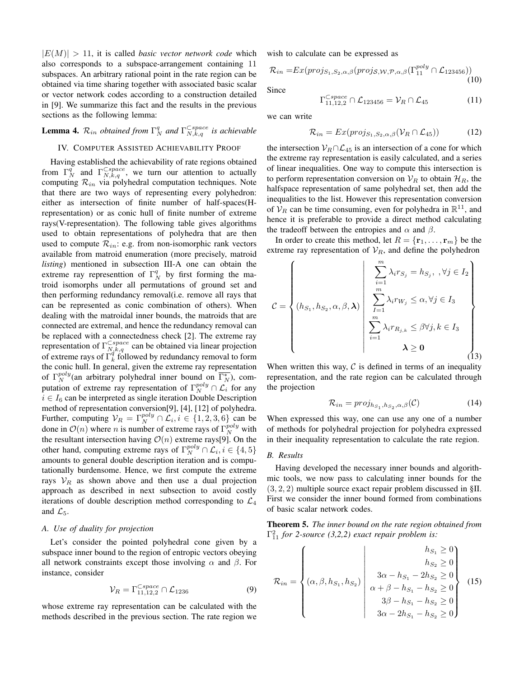$|E(M)| > 11$ , it is called *basic vector network code* which also corresponds to a subspace-arrangement containing 11 subspaces. An arbitrary rational point in the rate region can be obtained via time sharing together with associated basic scalar or vector network codes according to a construction detailed in [9]. We summarize this fact and the results in the previous sections as the following lemma:

**Lemma 4.**  $\mathcal{R}_{in}$  obtained from  $\Gamma_N^q$  and  $\Gamma_{N,k,q}^{\subset space}$  is achievable

# IV. COMPUTER ASSISTED ACHIEVABILITY PROOF

Having established the achievability of rate regions obtained from  $\Gamma_N^q$  and  $\Gamma_{N,k,q}^{\text{Cspace}}$ , we turn our attention to actually computing  $\mathcal{R}_{in}$  via polyhedral computation techniques. Note that there are two ways of representing every polyhedron: either as intersection of finite number of half-spaces(Hrepresentation) or as conic hull of finite number of extreme rays(V-representation). The following table gives algorithms used to obtain representations of polyhedra that are then used to compute  $\mathcal{R}_{in}$ : e.g. from non-isomorphic rank vectors available from matroid enumeration (more precisely, matroid *listing*) mentioned in subsection III-A one can obtain the extreme ray representtion of  $\Gamma_N^q$  by first forming the matroid isomorphs under all permutations of ground set and then performing redundancy removal(i.e. remove all rays that can be represented as conic combination of others). When dealing with the matroidal inner bounds, the matroids that are connected are extremal, and hence the redundancy removal can be replaced with a connectedness check [2]. The extreme ray representation of  $\Gamma_{N,k,q}^{\text{Cspace}}$  can be obtained via linear projection of extreme rays of  $\Gamma_k^{\dot{q}^n q}$  followed by redundancy removal to form the conic hull. In general, given the extreme ray representation of  $\Gamma_N^{poly}$  (an arbitrary polyhedral inner bound on  $\overline{\Gamma_N^*}$ ), computation of extreme ray representation of  $\Gamma_N^{poly} \cap \mathcal{L}_i$  for any  $i \in I_6$  can be interpreted as single iteration Double Description method of representation conversion[9], [4], [12] of polyhedra. Further, computing  $V_R = \Gamma_N^{poly} \cap \mathcal{L}_i, i \in \{1, 2, 3, 6\}$  can be done in  $\mathcal{O}(n)$  where *n* is number of extreme rays of  $\Gamma_N^{poly}$  with the resultant intersection having  $\mathcal{O}(n)$  extreme rays[9]. On the other hand, computing extreme rays of  $\Gamma_N^{poly} \cap \mathcal{L}_i, i \in \{4, 5\}$ amounts to general double description iteration and is computationally burdensome. Hence, we first compute the extreme rays  $V_R$  as shown above and then use a dual projection approach as described in next subsection to avoid costly iterations of double description method corresponding to  $\mathcal{L}_4$ and  $\mathcal{L}_5$ .

## *A. Use of duality for projection*

Let's consider the pointed polyhedral cone given by a subspace inner bound to the region of entropic vectors obeying all network constraints except those involving  $\alpha$  and  $\beta$ . For instance, consider

$$
\mathcal{V}_R = \Gamma_{11,12,2}^{\text{Cspace}} \cap \mathcal{L}_{1236} \tag{9}
$$

whose extreme ray representation can be calculated with the methods described in the previous section. The rate region we wish to calculate can be expressed as

Γ

$$
\mathcal{R}_{in} = Ex(proj_{S_1, S_2, \alpha, \beta}(proj_{S, \mathcal{W}, \mathcal{P}, \alpha, \beta}(\Gamma_{11}^{poly} \cap \mathcal{L}_{123456}))
$$
\n(10)

Since

$$
\Gamma_{11,12,2}^{Cspace} \cap \mathcal{L}_{123456} = \mathcal{V}_R \cap \mathcal{L}_{45} \tag{11}
$$

we can write

$$
\mathcal{R}_{in} = Ex(proj_{S_1, S_2, \alpha, \beta}(\mathcal{V}_R \cap \mathcal{L}_{45})) \tag{12}
$$

the intersection  $V_R \cap L_{45}$  is an intersection of a cone for which the extreme ray representation is easily calculated, and a series of linear inequalities. One way to compute this intersection is to perform representation conversion on  $\mathcal{V}_R$  to obtain  $\mathcal{H}_R$ , the halfspace representation of same polyhedral set, then add the inequalities to the list. However this representation conversion of  $\mathcal{V}_R$  can be time consuming, even for polyhedra in  $\mathbb{R}^{11}$ , and hence it is preferable to provide a direct method calculating the tradeoff between the entropies and  $\alpha$  and  $\beta$ .

In order to create this method, let  $R = \{r_1, \ldots, r_m\}$  be the extreme ray representation of  $\mathcal{V}_R$ , and define the polyhedron

$$
\mathcal{C} = \left\{ (h_{S_1}, h_{S_2}, \alpha, \beta, \lambda) \middle| \begin{array}{l} \sum_{i=1}^{m} \lambda_i r_{S_j} = h_{S_j}, \ \forall j \in I_2 \\ \sum_{j=1}^{m} \lambda_i r_{W_j} \leq \alpha, \forall j \in I_3 \\ \sum_{i=1}^{m} \lambda_i r_{R_{j,k}} \leq \beta \forall j, k \in I_3 \\ \lambda \geq 0 \end{array} \right\}
$$
 (13)

When written this way,  $C$  is defined in terms of an inequality representation, and the rate region can be calculated through the projection

$$
\mathcal{R}_{in} = \text{proj}_{h_{S_1}, h_{S_2}, \alpha, \beta}(\mathcal{C}) \tag{14}
$$

When expressed this way, one can use any one of a number of methods for polyhedral projection for polyhedra expressed in their inequality representation to calculate the rate region.

#### *B. Results*

Having developed the necessary inner bounds and algorithmic tools, we now pass to calculating inner bounds for the  $(3, 2, 2)$  multiple source exact repair problem discussed in §II. First we consider the inner bound formed from combinations of basic scalar network codes.

Theorem 5. *The inner bound on the rate region obtained from*  $\Gamma_{11}^2$  for 2-source (3,2,2) exact repair problem is:

$$
\mathcal{R}_{in} = \begin{Bmatrix}\n & h_{S_1} \ge 0 \\
& h_{S_2} \ge 0 \\
& \alpha, \beta, h_{S_1}, h_{S_2}\n\end{Bmatrix}\n\begin{Bmatrix}\n & h_{S_1} \ge 0 \\
& h_{S_2} \ge 0 \\
& 3\alpha - h_{S_1} - 2h_{S_2} \ge 0 \\
& \alpha + \beta - h_{S_1} - h_{S_2} \ge 0 \\
& 3\beta - h_{S_1} - h_{S_2} \ge 0\n\end{Bmatrix} (15)
$$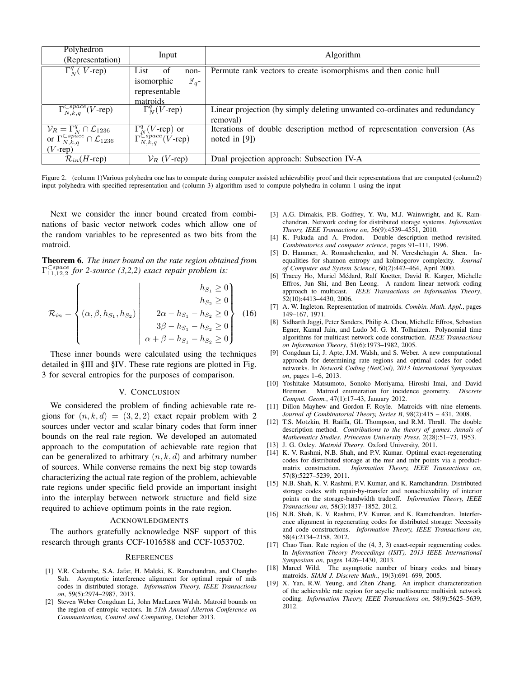| Polyhedron                                                                                         |                                                                                                |                                                                            |
|----------------------------------------------------------------------------------------------------|------------------------------------------------------------------------------------------------|----------------------------------------------------------------------------|
| (Representation)                                                                                   | Input                                                                                          | Algorithm                                                                  |
| $\overline{\Gamma_N^q}$ ( <i>V</i> -rep)                                                           | List of<br>non-                                                                                | Permute rank vectors to create isomorphisms and then conic hull            |
|                                                                                                    | isomorphic<br>$\mathbb{F}_q$ -                                                                 |                                                                            |
|                                                                                                    | representable                                                                                  |                                                                            |
|                                                                                                    | matroids                                                                                       |                                                                            |
| $\Gamma_{N,k,q}^{\text{Cspace}}(V$ -rep)                                                           | $\Gamma_N^q(V$ -rep)                                                                           | Linear projection (by simply deleting unwanted co-ordinates and redundancy |
|                                                                                                    |                                                                                                | removal)                                                                   |
|                                                                                                    |                                                                                                | Iterations of double description method of representation conversion (As   |
| $V_R = \Gamma_N^q \cap \mathcal{L}_{1236}$<br>or $\Gamma_{N,k,q}^{Cspace} \cap \mathcal{L}_{1236}$ | $\frac{\Gamma_N^q (V\text{-rep}) \text{ or } }{\Gamma_{N,k,q}^{\text{C}space} (V\text{-rep})}$ | noted in $[9]$ )                                                           |
| $(V$ -rep)                                                                                         |                                                                                                |                                                                            |
| $\mathcal{R}_{in}(H$ -rep)                                                                         | $V_R$ (V-rep)                                                                                  | Dual projection approach: Subsection IV-A                                  |

Figure 2. (column 1)Various polyhedra one has to compute during computer assisted achievability proof and their representations that are computed (column2) input polyhedra with specified representation and (column 3) algorithm used to compute polyhedra in column 1 using the input

Next we consider the inner bound created from combinations of basic vector network codes which allow one of the random variables to be represented as two bits from the matroid.

Theorem 6. *The inner bound on the rate region obtained from*  $\Gamma_{11,12,2}^{Cspace}$  for 2-source (3,2,2) exact repair problem is:

$$
\mathcal{R}_{in} = \begin{Bmatrix} \begin{pmatrix} h_{S_1} \geq 0 \\ h_{S_2} \geq 0 \\ 0, \beta, h_{S_1}, h_{S_2} \end{pmatrix} & \begin{pmatrix} h_{S_1} \geq 0 \\ h_{S_2} \geq 0 \\ 2\alpha - h_{S_1} - h_{S_2} \geq 0 \\ 3\beta - h_{S_1} - h_{S_2} \geq 0 \\ \alpha + \beta - h_{S_1} - h_{S_2} \geq 0 \end{pmatrix} & (16)
$$

These inner bounds were calculated using the techniques detailed in §III and §IV. These rate regions are plotted in Fig. 3 for several entropies for the purposes of comparison.

### V. CONCLUSION

We considered the problem of finding achievable rate regions for  $(n, k, d) = (3, 2, 2)$  exact repair problem with 2 sources under vector and scalar binary codes that form inner bounds on the real rate region. We developed an automated approach to the computation of achievable rate region that can be generalized to arbitrary  $(n, k, d)$  and arbitrary number of sources. While converse remains the next big step towards characterizing the actual rate region of the problem, achievable rate regions under specific field provide an important insight into the interplay between network structure and field size required to achieve optimum points in the rate region.

#### ACKNOWLEDGMENTS

The authors gratefully acknowledge NSF support of this research through grants CCF-1016588 and CCF-1053702.

#### **REFERENCES**

- [1] V.R. Cadambe, S.A. Jafar, H. Maleki, K. Ramchandran, and Changho Suh. Asymptotic interference alignment for optimal repair of mds codes in distributed storage. *Information Theory, IEEE Transactions on*, 59(5):2974–2987, 2013.
- [2] Steven Weber Congduan Li, John MacLaren Walsh. Matroid bounds on the region of entropic vectors. In *51th Annual Allerton Conference on Communication, Control and Computing*, October 2013.
- [3] A.G. Dimakis, P.B. Godfrey, Y. Wu, M.J. Wainwright, and K. Ramchandran. Network coding for distributed storage systems. *Information Theory, IEEE Transactions on*, 56(9):4539–4551, 2010.
- [4] K. Fukuda and A. Prodon. Double description method revisited. *Combinatorics and computer science*, pages 91–111, 1996.
- [5] D. Hammer, A. Romashchenko, and N. Vereshchagin A. Shen. Inequalities for shannon entropy and kolmogorov complexity. *Journal of Computer and System Science*, 60(2):442–464, April 2000.
- [6] Tracey Ho, Muriel Médard, Ralf Koetter, David R. Karger, Michelle Effros, Jun Shi, and Ben Leong. A random linear network coding approach to multicast. *IEEE Transactions on Information Theory*, 52(10):4413–4430, 2006.
- [7] A. W. Ingleton. Representation of matroids. *Combin. Math. Appl.*, pages 149–167, 1971.
- [8] Sidharth Jaggi, Peter Sanders, Philip A. Chou, Michelle Effros, Sebastian Egner, Kamal Jain, and Ludo M. G. M. Tolhuizen. Polynomial time algorithms for multicast network code construction. *IEEE Transactions on Information Theory*, 51(6):1973–1982, 2005.
- [9] Congduan Li, J. Apte, J.M. Walsh, and S. Weber. A new computational approach for determining rate regions and optimal codes for coded networks. In *Network Coding (NetCod), 2013 International Symposium on*, pages 1–6, 2013.
- [10] Yoshitake Matsumoto, Sonoko Moriyama, Hiroshi Imai, and David Bremner. Matroid enumeration for incidence geometry. *Discrete Comput. Geom.*, 47(1):17–43, January 2012.
- [11] Dillon Mayhew and Gordon F. Royle. Matroids with nine elements. *Journal of Combinatorial Theory, Series B*, 98(2):415 – 431, 2008.
- [12] T.S. Motzkin, H. Raiffa, GL Thompson, and R.M. Thrall. The double description method. *Contributions to the theory of games. Annals of Mathematics Studies. Princeton University Press*, 2(28):51–73, 1953.
- [13] J. G. Oxley. *Matroid Theory*. Oxford University, 2011.
- [14] K. V. Rashmi, N.B. Shah, and P.V. Kumar. Optimal exact-regenerating codes for distributed storage at the msr and mbr points via a productmatrix construction. *Information Theory, IEEE Transactions on*, 57(8):5227–5239, 2011.
- [15] N.B. Shah, K. V. Rashmi, P.V. Kumar, and K. Ramchandran. Distributed storage codes with repair-by-transfer and nonachievability of interior points on the storage-bandwidth tradeoff. *Information Theory, IEEE Transactions on*, 58(3):1837–1852, 2012.
- [16] N.B. Shah, K. V. Rashmi, P.V. Kumar, and K. Ramchandran. Interference alignment in regenerating codes for distributed storage: Necessity and code constructions. *Information Theory, IEEE Transactions on*, 58(4):2134–2158, 2012.
- [17] Chao Tian. Rate region of the  $(4, 3, 3)$  exact-repair regenerating codes. In *Information Theory Proceedings (ISIT), 2013 IEEE International Symposium on*, pages 1426–1430, 2013.
- [18] Marcel Wild. The asymptotic number of binary codes and binary matroids. *SIAM J. Discrete Math.*, 19(3):691–699, 2005.
- [19] X. Yan, R.W. Yeung, and Zhen Zhang. An implicit characterization of the achievable rate region for acyclic multisource multisink network coding. *Information Theory, IEEE Transactions on*, 58(9):5625–5639, 2012.